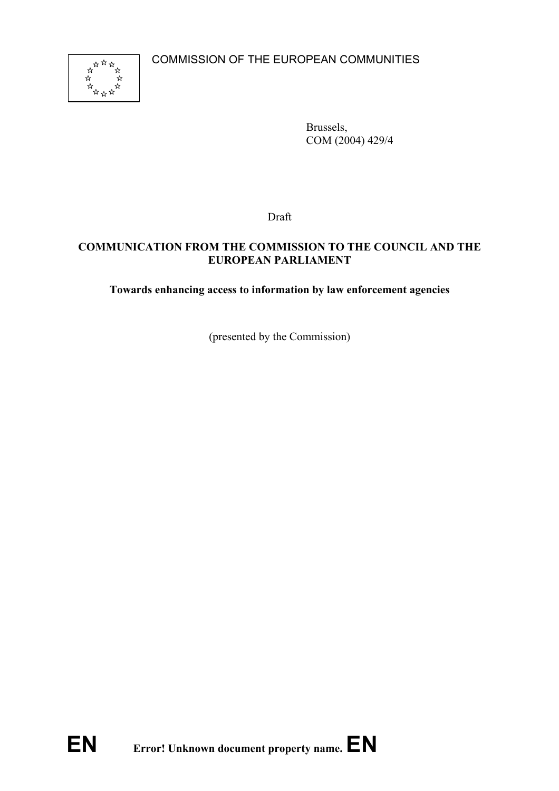

Brussels, COM (2004) 429/4

Draft

### **COMMUNICATION FROM THE COMMISSION TO THE COUNCIL AND THE EUROPEAN PARLIAMENT**

#### **Towards enhancing access to information by law enforcement agencies**

(presented by the Commission)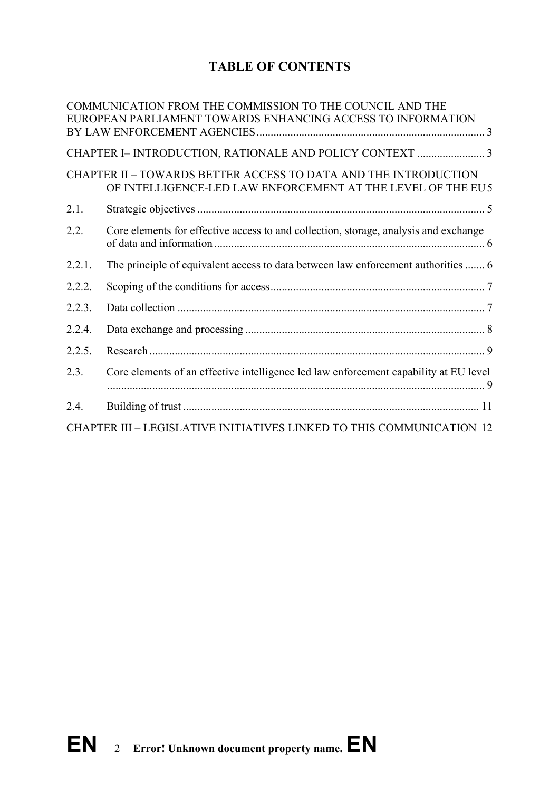# **TABLE OF CONTENTS**

|        | COMMUNICATION FROM THE COMMISSION TO THE COUNCIL AND THE<br>EUROPEAN PARLIAMENT TOWARDS ENHANCING ACCESS TO INFORMATION        |  |
|--------|--------------------------------------------------------------------------------------------------------------------------------|--|
|        |                                                                                                                                |  |
|        |                                                                                                                                |  |
|        | CHAPTER II – TOWARDS BETTER ACCESS TO DATA AND THE INTRODUCTION<br>OF INTELLIGENCE-LED LAW ENFORCEMENT AT THE LEVEL OF THE EU5 |  |
| 2.1.   |                                                                                                                                |  |
| 2.2.   | Core elements for effective access to and collection, storage, analysis and exchange                                           |  |
| 2.2.1. | The principle of equivalent access to data between law enforcement authorities  6                                              |  |
| 2.2.2. |                                                                                                                                |  |
| 2.2.3. |                                                                                                                                |  |
| 2.2.4. |                                                                                                                                |  |
| 2.2.5. |                                                                                                                                |  |
| 2.3.   | Core elements of an effective intelligence led law enforcement capability at EU level                                          |  |
| 2.4.   |                                                                                                                                |  |
|        | CHAPTER III - LEGISLATIVE INITIATIVES LINKED TO THIS COMMUNICATION 12                                                          |  |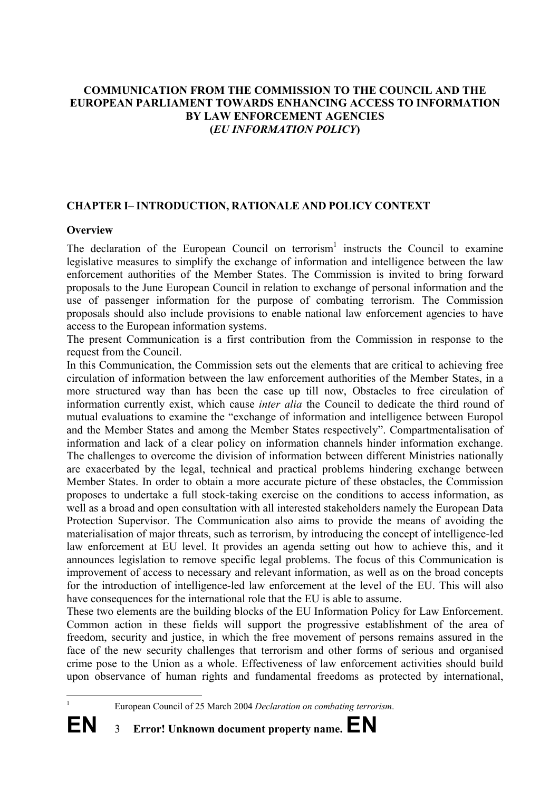#### **COMMUNICATION FROM THE COMMISSION TO THE COUNCIL AND THE EUROPEAN PARLIAMENT TOWARDS ENHANCING ACCESS TO INFORMATION BY LAW ENFORCEMENT AGENCIES (***EU INFORMATION POLICY***)**

#### **CHAPTER I– INTRODUCTION, RATIONALE AND POLICY CONTEXT**

#### **Overview**

 $\overline{a}$ 1

The declaration of the European Council on terrorism<sup>1</sup> instructs the Council to examine legislative measures to simplify the exchange of information and intelligence between the law enforcement authorities of the Member States. The Commission is invited to bring forward proposals to the June European Council in relation to exchange of personal information and the use of passenger information for the purpose of combating terrorism. The Commission proposals should also include provisions to enable national law enforcement agencies to have access to the European information systems.

The present Communication is a first contribution from the Commission in response to the request from the Council.

In this Communication, the Commission sets out the elements that are critical to achieving free circulation of information between the law enforcement authorities of the Member States, in a more structured way than has been the case up till now, Obstacles to free circulation of information currently exist, which cause *inter alia* the Council to dedicate the third round of mutual evaluations to examine the "exchange of information and intelligence between Europol and the Member States and among the Member States respectively". Compartmentalisation of information and lack of a clear policy on information channels hinder information exchange. The challenges to overcome the division of information between different Ministries nationally are exacerbated by the legal, technical and practical problems hindering exchange between Member States. In order to obtain a more accurate picture of these obstacles, the Commission proposes to undertake a full stock-taking exercise on the conditions to access information, as well as a broad and open consultation with all interested stakeholders namely the European Data Protection Supervisor. The Communication also aims to provide the means of avoiding the materialisation of major threats, such as terrorism, by introducing the concept of intelligence-led law enforcement at EU level. It provides an agenda setting out how to achieve this, and it announces legislation to remove specific legal problems. The focus of this Communication is improvement of access to necessary and relevant information, as well as on the broad concepts for the introduction of intelligence-led law enforcement at the level of the EU. This will also have consequences for the international role that the EU is able to assume.

These two elements are the building blocks of the EU Information Policy for Law Enforcement. Common action in these fields will support the progressive establishment of the area of freedom, security and justice, in which the free movement of persons remains assured in the face of the new security challenges that terrorism and other forms of serious and organised crime pose to the Union as a whole. Effectiveness of law enforcement activities should build upon observance of human rights and fundamental freedoms as protected by international,

European Council of 25 March 2004 *Declaration on combating terrorism*.

**EN** 3 **Error! Unknown document property name.EN**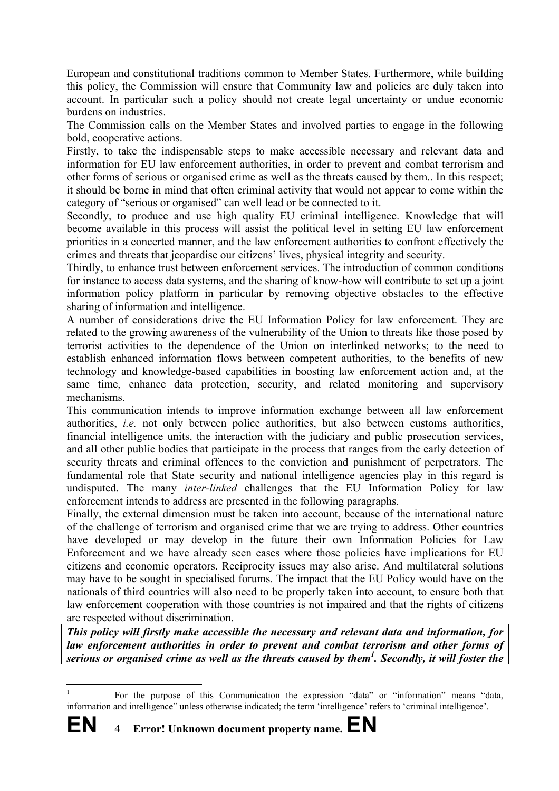European and constitutional traditions common to Member States. Furthermore, while building this policy, the Commission will ensure that Community law and policies are duly taken into account. In particular such a policy should not create legal uncertainty or undue economic burdens on industries.

The Commission calls on the Member States and involved parties to engage in the following bold, cooperative actions.

Firstly, to take the indispensable steps to make accessible necessary and relevant data and information for EU law enforcement authorities, in order to prevent and combat terrorism and other forms of serious or organised crime as well as the threats caused by them.. In this respect; it should be borne in mind that often criminal activity that would not appear to come within the category of "serious or organised" can well lead or be connected to it.

Secondly, to produce and use high quality EU criminal intelligence. Knowledge that will become available in this process will assist the political level in setting EU law enforcement priorities in a concerted manner, and the law enforcement authorities to confront effectively the crimes and threats that jeopardise our citizens' lives, physical integrity and security.

Thirdly, to enhance trust between enforcement services. The introduction of common conditions for instance to access data systems, and the sharing of know-how will contribute to set up a joint information policy platform in particular by removing objective obstacles to the effective sharing of information and intelligence.

A number of considerations drive the EU Information Policy for law enforcement. They are related to the growing awareness of the vulnerability of the Union to threats like those posed by terrorist activities to the dependence of the Union on interlinked networks; to the need to establish enhanced information flows between competent authorities, to the benefits of new technology and knowledge-based capabilities in boosting law enforcement action and, at the same time, enhance data protection, security, and related monitoring and supervisory mechanisms.

This communication intends to improve information exchange between all law enforcement authorities, *i.e.* not only between police authorities, but also between customs authorities, financial intelligence units, the interaction with the judiciary and public prosecution services, and all other public bodies that participate in the process that ranges from the early detection of security threats and criminal offences to the conviction and punishment of perpetrators. The fundamental role that State security and national intelligence agencies play in this regard is undisputed. The many *inter-linked* challenges that the EU Information Policy for law enforcement intends to address are presented in the following paragraphs.

Finally, the external dimension must be taken into account, because of the international nature of the challenge of terrorism and organised crime that we are trying to address. Other countries have developed or may develop in the future their own Information Policies for Law Enforcement and we have already seen cases where those policies have implications for EU citizens and economic operators. Reciprocity issues may also arise. And multilateral solutions may have to be sought in specialised forums. The impact that the EU Policy would have on the nationals of third countries will also need to be properly taken into account, to ensure both that law enforcement cooperation with those countries is not impaired and that the rights of citizens are respected without discrimination.

*This policy will firstly make accessible the necessary and relevant data and information, for law enforcement authorities in order to prevent and combat terrorism and other forms of serious or organised crime as well as the threats caused by them1 . Secondly, it will foster the* 

 $\overline{a}$ 1 For the purpose of this Communication the expression "data" or "information" means "data, information and intelligence" unless otherwise indicated; the term 'intelligence' refers to 'criminal intelligence'.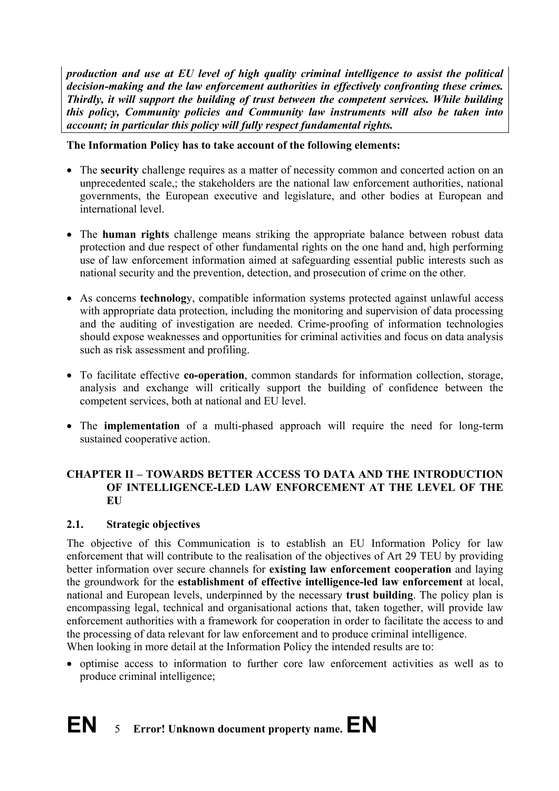*production and use at EU level of high quality criminal intelligence to assist the political decision-making and the law enforcement authorities in effectively confronting these crimes. Thirdly, it will support the building of trust between the competent services. While building this policy, Community policies and Community law instruments will also be taken into account; in particular this policy will fully respect fundamental rights.* 

#### **The Information Policy has to take account of the following elements:**

- The **security** challenge requires as a matter of necessity common and concerted action on an unprecedented scale,; the stakeholders are the national law enforcement authorities, national governments, the European executive and legislature, and other bodies at European and international level.
- The **human rights** challenge means striking the appropriate balance between robust data protection and due respect of other fundamental rights on the one hand and, high performing use of law enforcement information aimed at safeguarding essential public interests such as national security and the prevention, detection, and prosecution of crime on the other.
- As concerns **technolog**y, compatible information systems protected against unlawful access with appropriate data protection, including the monitoring and supervision of data processing and the auditing of investigation are needed. Crime-proofing of information technologies should expose weaknesses and opportunities for criminal activities and focus on data analysis such as risk assessment and profiling.
- To facilitate effective **co-operation**, common standards for information collection, storage, analysis and exchange will critically support the building of confidence between the competent services, both at national and EU level.
- The **implementation** of a multi-phased approach will require the need for long-term sustained cooperative action.

#### **CHAPTER II – TOWARDS BETTER ACCESS TO DATA AND THE INTRODUCTION OF INTELLIGENCE-LED LAW ENFORCEMENT AT THE LEVEL OF THE EU**

#### **2.1. Strategic objectives**

The objective of this Communication is to establish an EU Information Policy for law enforcement that will contribute to the realisation of the objectives of Art 29 TEU by providing better information over secure channels for **existing law enforcement cooperation** and laying the groundwork for the **establishment of effective intelligence-led law enforcement** at local, national and European levels, underpinned by the necessary **trust building**. The policy plan is encompassing legal, technical and organisational actions that, taken together, will provide law enforcement authorities with a framework for cooperation in order to facilitate the access to and the processing of data relevant for law enforcement and to produce criminal intelligence. When looking in more detail at the Information Policy the intended results are to:

• optimise access to information to further core law enforcement activities as well as to produce criminal intelligence;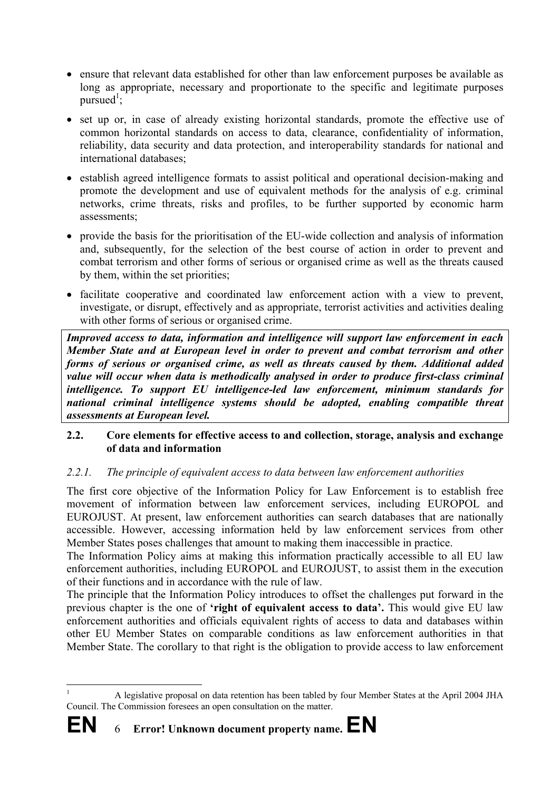- ensure that relevant data established for other than law enforcement purposes be available as long as appropriate, necessary and proportionate to the specific and legitimate purposes pursued<sup>1</sup>;
- set up or, in case of already existing horizontal standards, promote the effective use of common horizontal standards on access to data, clearance, confidentiality of information, reliability, data security and data protection, and interoperability standards for national and international databases;
- establish agreed intelligence formats to assist political and operational decision-making and promote the development and use of equivalent methods for the analysis of e.g. criminal networks, crime threats, risks and profiles, to be further supported by economic harm assessments;
- provide the basis for the prioritisation of the EU-wide collection and analysis of information and, subsequently, for the selection of the best course of action in order to prevent and combat terrorism and other forms of serious or organised crime as well as the threats caused by them, within the set priorities;
- facilitate cooperative and coordinated law enforcement action with a view to prevent, investigate, or disrupt, effectively and as appropriate, terrorist activities and activities dealing with other forms of serious or organised crime.

*Improved access to data, information and intelligence will support law enforcement in each Member State and at European level in order to prevent and combat terrorism and other forms of serious or organised crime, as well as threats caused by them. Additional added value will occur when data is methodically analysed in order to produce first-class criminal intelligence. To support EU intelligence-led law enforcement, minimum standards for national criminal intelligence systems should be adopted, enabling compatible threat assessments at European level.* 

### **2.2. Core elements for effective access to and collection, storage, analysis and exchange of data and information**

# *2.2.1. The principle of equivalent access to data between law enforcement authorities*

The first core objective of the Information Policy for Law Enforcement is to establish free movement of information between law enforcement services, including EUROPOL and EUROJUST. At present, law enforcement authorities can search databases that are nationally accessible. However, accessing information held by law enforcement services from other Member States poses challenges that amount to making them inaccessible in practice.

The Information Policy aims at making this information practically accessible to all EU law enforcement authorities, including EUROPOL and EUROJUST, to assist them in the execution of their functions and in accordance with the rule of law.

The principle that the Information Policy introduces to offset the challenges put forward in the previous chapter is the one of **'right of equivalent access to data'.** This would give EU law enforcement authorities and officials equivalent rights of access to data and databases within other EU Member States on comparable conditions as law enforcement authorities in that Member State. The corollary to that right is the obligation to provide access to law enforcement

 $\overline{a}$ 1 A legislative proposal on data retention has been tabled by four Member States at the April 2004 JHA Council. The Commission foresees an open consultation on the matter.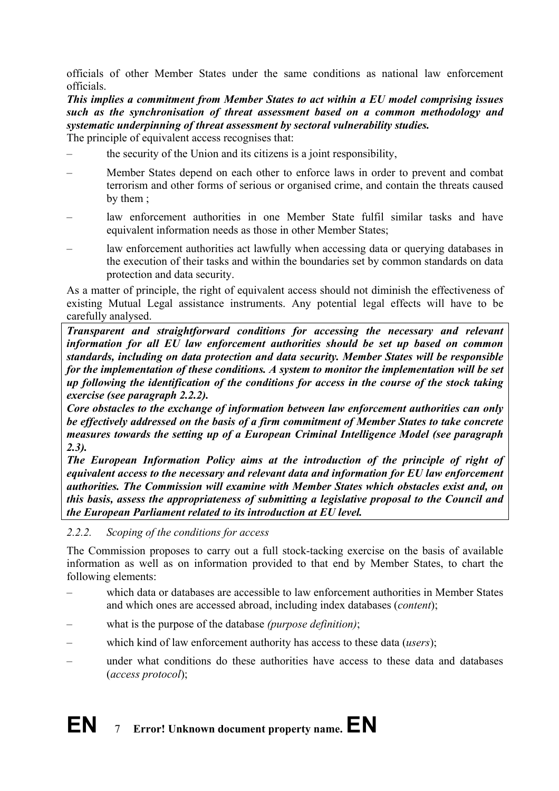officials of other Member States under the same conditions as national law enforcement officials.

*This implies a commitment from Member States to act within a EU model comprising issues such as the synchronisation of threat assessment based on a common methodology and systematic underpinning of threat assessment by sectoral vulnerability studies.*

The principle of equivalent access recognises that:

- the security of the Union and its citizens is a joint responsibility,
- Member States depend on each other to enforce laws in order to prevent and combat terrorism and other forms of serious or organised crime, and contain the threats caused by them ;
- law enforcement authorities in one Member State fulfil similar tasks and have equivalent information needs as those in other Member States;
- law enforcement authorities act lawfully when accessing data or querying databases in the execution of their tasks and within the boundaries set by common standards on data protection and data security.

As a matter of principle, the right of equivalent access should not diminish the effectiveness of existing Mutual Legal assistance instruments. Any potential legal effects will have to be carefully analysed.

*Transparent and straightforward conditions for accessing the necessary and relevant information for all EU law enforcement authorities should be set up based on common standards, including on data protection and data security. Member States will be responsible for the implementation of these conditions. A system to monitor the implementation will be set up following the identification of the conditions for access in the course of the stock taking exercise (see paragraph 2.2.2).* 

*Core obstacles to the exchange of information between law enforcement authorities can only be effectively addressed on the basis of a firm commitment of Member States to take concrete measures towards the setting up of a European Criminal Intelligence Model (see paragraph 2.3).* 

*The European Information Policy aims at the introduction of the principle of right of equivalent access to the necessary and relevant data and information for EU law enforcement authorities. The Commission will examine with Member States which obstacles exist and, on this basis, assess the appropriateness of submitting a legislative proposal to the Council and the European Parliament related to its introduction at EU level.* 

*2.2.2. Scoping of the conditions for access* 

The Commission proposes to carry out a full stock-tacking exercise on the basis of available information as well as on information provided to that end by Member States, to chart the following elements:

- which data or databases are accessible to law enforcement authorities in Member States and which ones are accessed abroad, including index databases (*content*);
- what is the purpose of the database *(purpose definition)*;
- which kind of law enforcement authority has access to these data (*users*);
- under what conditions do these authorities have access to these data and databases (*access protocol*);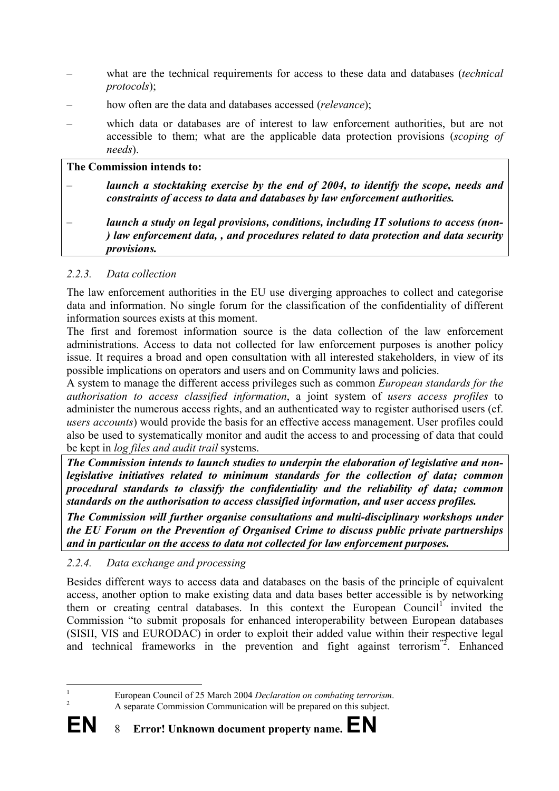- what are the technical requirements for access to these data and databases (*technical protocols*);
- how often are the data and databases accessed (*relevance*);
- which data or databases are of interest to law enforcement authorities, but are not accessible to them; what are the applicable data protection provisions (*scoping of needs*).

#### **The Commission intends to:**

- launch a stocktaking exercise by the end of 2004, to identify the scope, needs and *constraints of access to data and databases by law enforcement authorities.*
- *launch a study on legal provisions, conditions, including IT solutions to access (non- ) law enforcement data, , and procedures related to data protection and data security provisions.*

#### *2.2.3. Data collection*

The law enforcement authorities in the EU use diverging approaches to collect and categorise data and information. No single forum for the classification of the confidentiality of different information sources exists at this moment.

The first and foremost information source is the data collection of the law enforcement administrations. Access to data not collected for law enforcement purposes is another policy issue. It requires a broad and open consultation with all interested stakeholders, in view of its possible implications on operators and users and on Community laws and policies.

A system to manage the different access privileges such as common *European standards for the authorisation to access classified information*, a joint system of *users access profiles* to administer the numerous access rights, and an authenticated way to register authorised users (cf. *users accounts*) would provide the basis for an effective access management. User profiles could also be used to systematically monitor and audit the access to and processing of data that could be kept in *log files and audit trail* systems.

*The Commission intends to launch studies to underpin the elaboration of legislative and nonlegislative initiatives related to minimum standards for the collection of data; common procedural standards to classify the confidentiality and the reliability of data; common standards on the authorisation to access classified information, and user access profiles.* 

*The Commission will further organise consultations and multi-disciplinary workshops under the EU Forum on the Prevention of Organised Crime to discuss public private partnerships and in particular on the access to data not collected for law enforcement purposes.* 

#### *2.2.4. Data exchange and processing*

Besides different ways to access data and databases on the basis of the principle of equivalent access, another option to make existing data and data bases better accessible is by networking them or creating central databases. In this context the European Council<sup>1</sup> invited the Commission "to submit proposals for enhanced interoperability between European databases (SISII, VIS and EURODAC) in order to exploit their added value within their respective legal and technical frameworks in the prevention and fight against terrorism<sup>"2</sup>. Enhanced

 European Council of 25 March 2004 *Declaration on combating terrorism*. 2 A separate Commission Communication will be prepared on this subject.

 $\overline{a}$ 1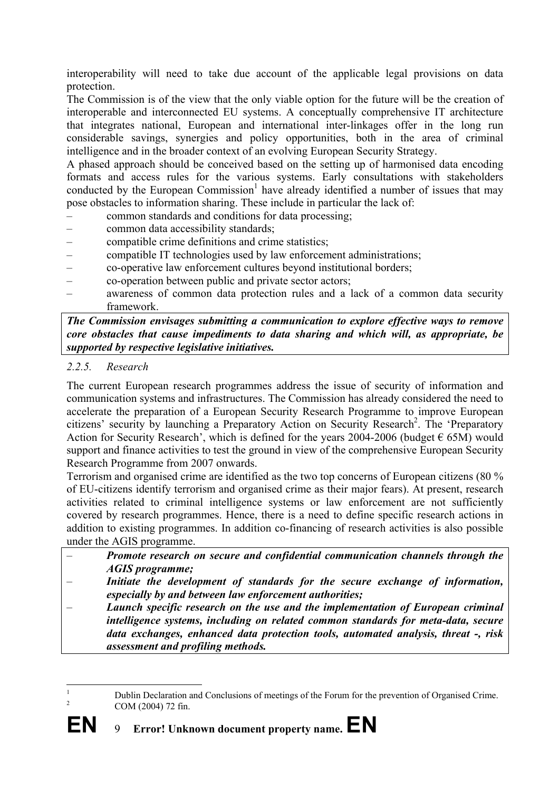interoperability will need to take due account of the applicable legal provisions on data protection.

The Commission is of the view that the only viable option for the future will be the creation of interoperable and interconnected EU systems. A conceptually comprehensive IT architecture that integrates national, European and international inter-linkages offer in the long run considerable savings, synergies and policy opportunities, both in the area of criminal intelligence and in the broader context of an evolving European Security Strategy.

A phased approach should be conceived based on the setting up of harmonised data encoding formats and access rules for the various systems. Early consultations with stakeholders conducted by the European Commission<sup>1</sup> have already identified a number of issues that may pose obstacles to information sharing. These include in particular the lack of:

- common standards and conditions for data processing;
- common data accessibility standards;
- compatible crime definitions and crime statistics;
- compatible IT technologies used by law enforcement administrations;
- co-operative law enforcement cultures beyond institutional borders;
- co-operation between public and private sector actors;
- awareness of common data protection rules and a lack of a common data security framework.

*The Commission envisages submitting a communication to explore effective ways to remove core obstacles that cause impediments to data sharing and which will, as appropriate, be supported by respective legislative initiatives.* 

#### *2.2.5. Research*

The current European research programmes address the issue of security of information and communication systems and infrastructures. The Commission has already considered the need to accelerate the preparation of a European Security Research Programme to improve European citizens' security by launching a Preparatory Action on Security Research<sup>2</sup>. The 'Preparatory Action for Security Research', which is defined for the years 2004-2006 (budget  $\epsilon$  65M) would support and finance activities to test the ground in view of the comprehensive European Security Research Programme from 2007 onwards.

Terrorism and organised crime are identified as the two top concerns of European citizens (80 % of EU-citizens identify terrorism and organised crime as their major fears). At present, research activities related to criminal intelligence systems or law enforcement are not sufficiently covered by research programmes. Hence, there is a need to define specific research actions in addition to existing programmes. In addition co-financing of research activities is also possible under the AGIS programme.

- *Promote research on secure and confidential communication channels through the AGIS programme;*
- *Initiate the development of standards for the secure exchange of information, especially by and between law enforcement authorities;*
- Launch specific research on the use and the implementation of European criminal *intelligence systems, including on related common standards for meta-data, secure data exchanges, enhanced data protection tools, automated analysis, threat -, risk assessment and profiling methods.*

1

 $\overline{a}$ 

Dublin Declaration and Conclusions of meetings of the Forum for the prevention of Organised Crime. COM (2004) 72 fin.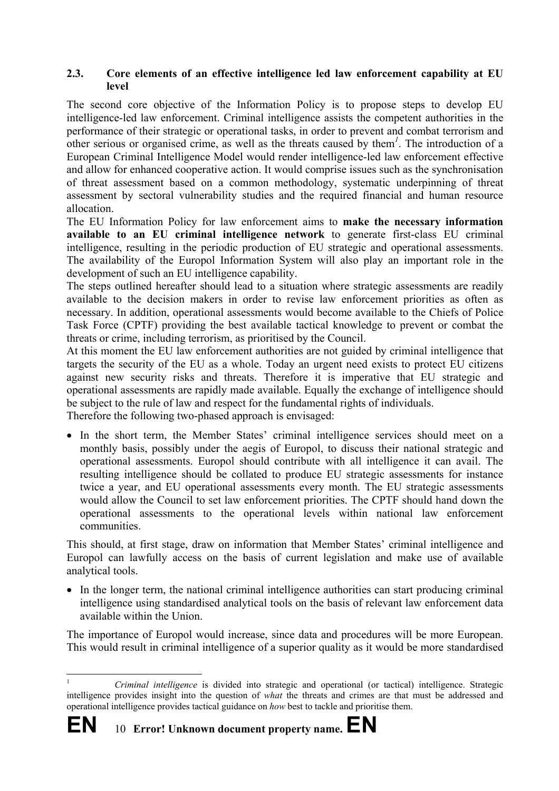### **2.3. Core elements of an effective intelligence led law enforcement capability at EU level**

The second core objective of the Information Policy is to propose steps to develop EU intelligence-led law enforcement. Criminal intelligence assists the competent authorities in the performance of their strategic or operational tasks, in order to prevent and combat terrorism and other serious or organised crime, as well as the threats caused by them*<sup>1</sup>* . The introduction of a European Criminal Intelligence Model would render intelligence-led law enforcement effective and allow for enhanced cooperative action. It would comprise issues such as the synchronisation of threat assessment based on a common methodology, systematic underpinning of threat assessment by sectoral vulnerability studies and the required financial and human resource allocation.

The EU Information Policy for law enforcement aims to **make the necessary information available to an EU criminal intelligence network** to generate first-class EU criminal intelligence, resulting in the periodic production of EU strategic and operational assessments. The availability of the Europol Information System will also play an important role in the development of such an EU intelligence capability.

The steps outlined hereafter should lead to a situation where strategic assessments are readily available to the decision makers in order to revise law enforcement priorities as often as necessary. In addition, operational assessments would become available to the Chiefs of Police Task Force (CPTF) providing the best available tactical knowledge to prevent or combat the threats or crime, including terrorism, as prioritised by the Council.

At this moment the EU law enforcement authorities are not guided by criminal intelligence that targets the security of the EU as a whole. Today an urgent need exists to protect EU citizens against new security risks and threats. Therefore it is imperative that EU strategic and operational assessments are rapidly made available. Equally the exchange of intelligence should be subject to the rule of law and respect for the fundamental rights of individuals.

Therefore the following two-phased approach is envisaged:

• In the short term, the Member States' criminal intelligence services should meet on a monthly basis, possibly under the aegis of Europol, to discuss their national strategic and operational assessments. Europol should contribute with all intelligence it can avail. The resulting intelligence should be collated to produce EU strategic assessments for instance twice a year, and EU operational assessments every month. The EU strategic assessments would allow the Council to set law enforcement priorities. The CPTF should hand down the operational assessments to the operational levels within national law enforcement communities.

This should, at first stage, draw on information that Member States' criminal intelligence and Europol can lawfully access on the basis of current legislation and make use of available analytical tools.

• In the longer term, the national criminal intelligence authorities can start producing criminal intelligence using standardised analytical tools on the basis of relevant law enforcement data available within the Union.

The importance of Europol would increase, since data and procedures will be more European. This would result in criminal intelligence of a superior quality as it would be more standardised

 $\mathbf{1}$ <sup>1</sup> *Criminal intelligence* is divided into strategic and operational (or tactical) intelligence. Strategic intelligence provides insight into the question of *what* the threats and crimes are that must be addressed and operational intelligence provides tactical guidance on *how* best to tackle and prioritise them.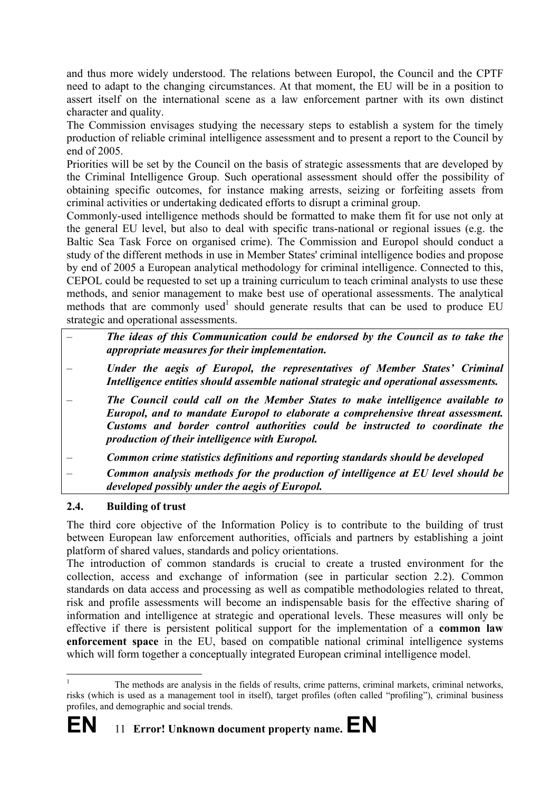and thus more widely understood. The relations between Europol, the Council and the CPTF need to adapt to the changing circumstances. At that moment, the EU will be in a position to assert itself on the international scene as a law enforcement partner with its own distinct character and quality.

The Commission envisages studying the necessary steps to establish a system for the timely production of reliable criminal intelligence assessment and to present a report to the Council by end of 2005.

Priorities will be set by the Council on the basis of strategic assessments that are developed by the Criminal Intelligence Group. Such operational assessment should offer the possibility of obtaining specific outcomes, for instance making arrests, seizing or forfeiting assets from criminal activities or undertaking dedicated efforts to disrupt a criminal group.

Commonly-used intelligence methods should be formatted to make them fit for use not only at the general EU level, but also to deal with specific trans-national or regional issues (e.g. the Baltic Sea Task Force on organised crime). The Commission and Europol should conduct a study of the different methods in use in Member States' criminal intelligence bodies and propose by end of 2005 a European analytical methodology for criminal intelligence. Connected to this, CEPOL could be requested to set up a training curriculum to teach criminal analysts to use these methods, and senior management to make best use of operational assessments. The analytical methods that are commonly used<sup>1</sup> should generate results that can be used to produce  $EU$ strategic and operational assessments.

- *The ideas of this Communication could be endorsed by the Council as to take the appropriate measures for their implementation.*
- *Under the aegis of Europol, the representatives of Member States' Criminal Intelligence entities should assemble national strategic and operational assessments.*
- *The Council could call on the Member States to make intelligence available to Europol, and to mandate Europol to elaborate a comprehensive threat assessment. Customs and border control authorities could be instructed to coordinate the production of their intelligence with Europol.*
- *Common crime statistics definitions and reporting standards should be developed*
- *Common analysis methods for the production of intelligence at EU level should be developed possibly under the aegis of Europol.*

# **2.4. Building of trust**

The third core objective of the Information Policy is to contribute to the building of trust between European law enforcement authorities, officials and partners by establishing a joint platform of shared values, standards and policy orientations.

The introduction of common standards is crucial to create a trusted environment for the collection, access and exchange of information (see in particular section 2.2). Common standards on data access and processing as well as compatible methodologies related to threat, risk and profile assessments will become an indispensable basis for the effective sharing of information and intelligence at strategic and operational levels. These measures will only be effective if there is persistent political support for the implementation of a **common law enforcement space** in the EU, based on compatible national criminal intelligence systems which will form together a conceptually integrated European criminal intelligence model.

 $\frac{1}{1}$  The methods are analysis in the fields of results, crime patterns, criminal markets, criminal networks, risks (which is used as a management tool in itself), target profiles (often called "profiling"), criminal business profiles, and demographic and social trends.